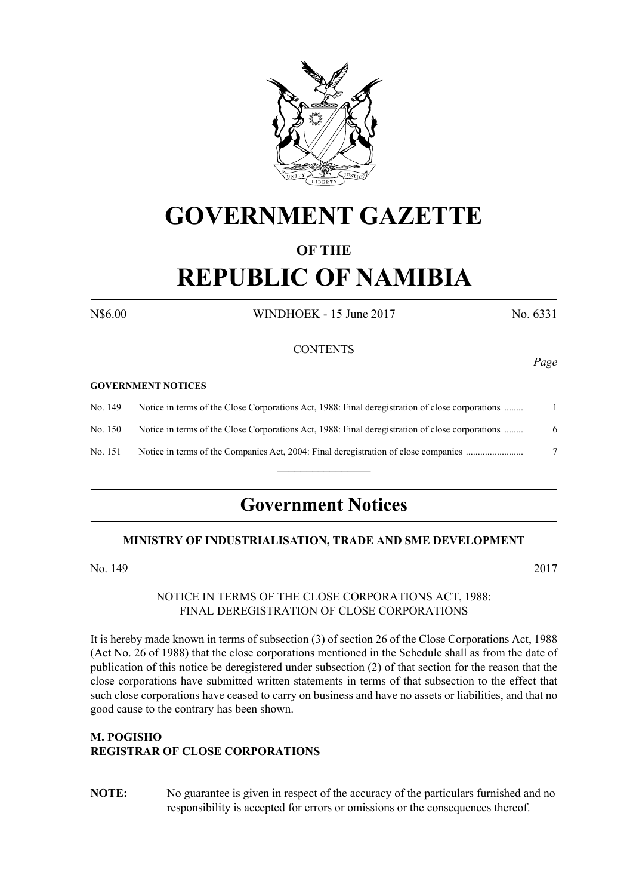

# **GOVERNMENT GAZETTE**

## **OF THE REPUBLIC OF NAMIBIA**

N\$6.00 WINDHOEK - 15 June 2017 No. 6331

### **CONTENTS**

#### **GOVERNMENT NOTICES**

| No. 149 | Notice in terms of the Close Corporations Act, 1988: Final deregistration of close corporations |  |
|---------|-------------------------------------------------------------------------------------------------|--|
| No. 150 | Notice in terms of the Close Corporations Act, 1988: Final deregistration of close corporations |  |
| No. 151 | Notice in terms of the Companies Act, 2004: Final deregistration of close companies             |  |
|         |                                                                                                 |  |

## **Government Notices**

#### **MINISTRY OF INDUSTRIALISATION, TRADE AND SME DEVELOPMENT**

No. 149 2017

#### NOTICE IN TERMS OF THE CLOSE CORPORATIONS ACT, 1988: FINAL DEREGISTRATION OF CLOSE CORPORATIONS

It is hereby made known in terms of subsection (3) of section 26 of the Close Corporations Act, 1988 (Act No. 26 of 1988) that the close corporations mentioned in the Schedule shall as from the date of publication of this notice be deregistered under subsection (2) of that section for the reason that the close corporations have submitted written statements in terms of that subsection to the effect that such close corporations have ceased to carry on business and have no assets or liabilities, and that no good cause to the contrary has been shown.

## **M. POGISHO REGISTRAR OF CLOSE CORPORATIONS**

**NOTE:** No guarantee is given in respect of the accuracy of the particulars furnished and no responsibility is accepted for errors or omissions or the consequences thereof.

*Page*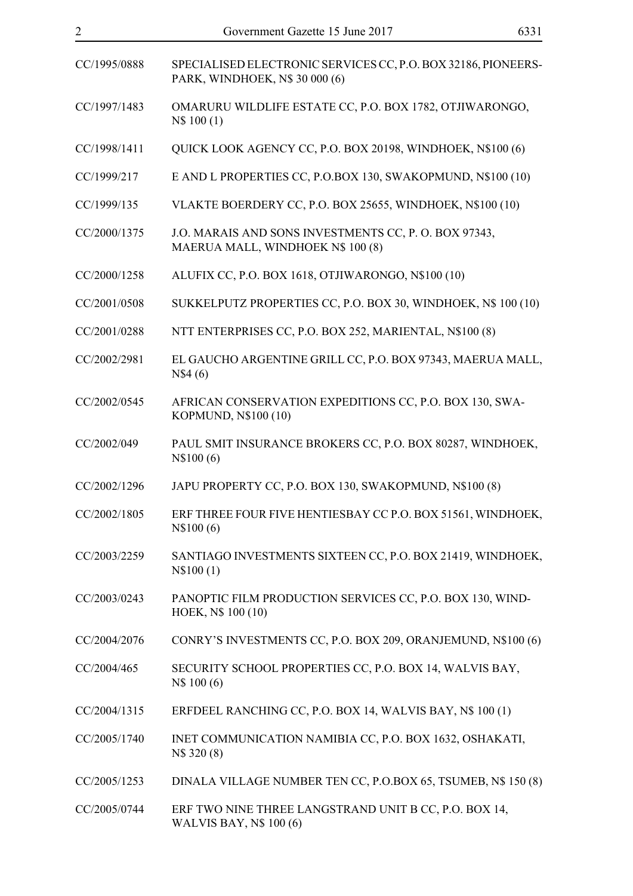| CC/1995/0888 | SPECIALISED ELECTRONIC SERVICES CC, P.O. BOX 32186, PIONEERS-<br>PARK, WINDHOEK, N\$ 30 000 (6) |
|--------------|-------------------------------------------------------------------------------------------------|
| CC/1997/1483 | OMARURU WILDLIFE ESTATE CC, P.O. BOX 1782, OTJIWARONGO,<br>N\$ 100(1)                           |
| CC/1998/1411 | QUICK LOOK AGENCY CC, P.O. BOX 20198, WINDHOEK, N\$100 (6)                                      |
| CC/1999/217  | E AND L PROPERTIES CC, P.O.BOX 130, SWAKOPMUND, N\$100 (10)                                     |
| CC/1999/135  | VLAKTE BOERDERY CC, P.O. BOX 25655, WINDHOEK, N\$100 (10)                                       |
| CC/2000/1375 | J.O. MARAIS AND SONS INVESTMENTS CC, P. O. BOX 97343,<br>MAERUA MALL, WINDHOEK N\$ 100 (8)      |
| CC/2000/1258 | ALUFIX CC, P.O. BOX 1618, OTJIWARONGO, N\$100 (10)                                              |
| CC/2001/0508 | SUKKELPUTZ PROPERTIES CC, P.O. BOX 30, WINDHOEK, N\$ 100 (10)                                   |
| CC/2001/0288 | NTT ENTERPRISES CC, P.O. BOX 252, MARIENTAL, N\$100 (8)                                         |
| CC/2002/2981 | EL GAUCHO ARGENTINE GRILL CC, P.O. BOX 97343, MAERUA MALL,<br>N\$4(6)                           |
| CC/2002/0545 | AFRICAN CONSERVATION EXPEDITIONS CC, P.O. BOX 130, SWA-<br>KOPMUND, N\$100 (10)                 |
| CC/2002/049  | PAUL SMIT INSURANCE BROKERS CC, P.O. BOX 80287, WINDHOEK,<br>N\$100 (6)                         |
| CC/2002/1296 | JAPU PROPERTY CC, P.O. BOX 130, SWAKOPMUND, N\$100 (8)                                          |
| CC/2002/1805 | ERF THREE FOUR FIVE HENTIESBAY CC P.O. BOX 51561, WINDHOEK,<br>N\$100(6)                        |
| CC/2003/2259 | SANTIAGO INVESTMENTS SIXTEEN CC, P.O. BOX 21419, WINDHOEK,<br>N\$100(1)                         |
| CC/2003/0243 | PANOPTIC FILM PRODUCTION SERVICES CC, P.O. BOX 130, WIND-<br>HOEK, N\$ 100 (10)                 |
| CC/2004/2076 | CONRY'S INVESTMENTS CC, P.O. BOX 209, ORANJEMUND, N\$100 (6)                                    |
| CC/2004/465  | SECURITY SCHOOL PROPERTIES CC, P.O. BOX 14, WALVIS BAY,<br>N\$ 100 (6)                          |
| CC/2004/1315 | ERFDEEL RANCHING CC, P.O. BOX 14, WALVIS BAY, N\$ 100 (1)                                       |
| CC/2005/1740 | INET COMMUNICATION NAMIBIA CC, P.O. BOX 1632, OSHAKATI,<br>N\\$ 320 (8)                         |
| CC/2005/1253 | DINALA VILLAGE NUMBER TEN CC, P.O.BOX 65, TSUMEB, N\$ 150 (8)                                   |
| CC/2005/0744 | ERF TWO NINE THREE LANGSTRAND UNIT B CC, P.O. BOX 14,                                           |

WALVIS BAY, N\$ 100 (6)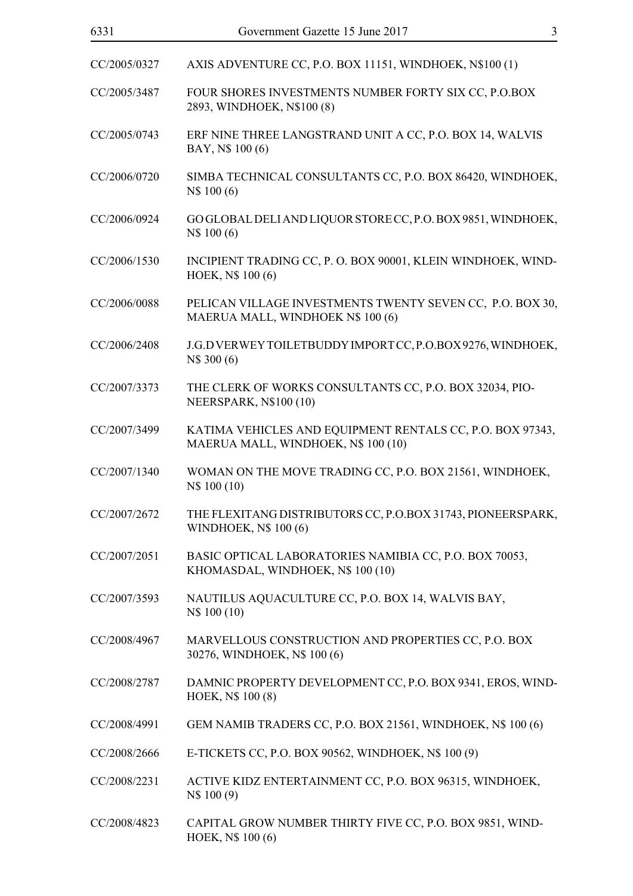| 6331         | $\overline{3}$<br>Government Gazette 15 June 2017                                                |
|--------------|--------------------------------------------------------------------------------------------------|
| CC/2005/0327 | AXIS ADVENTURE CC, P.O. BOX 11151, WINDHOEK, N\$100 (1)                                          |
| CC/2005/3487 | FOUR SHORES INVESTMENTS NUMBER FORTY SIX CC, P.O.BOX<br>2893, WINDHOEK, N\$100 (8)               |
| CC/2005/0743 | ERF NINE THREE LANGSTRAND UNIT A CC, P.O. BOX 14, WALVIS<br>BAY, N\$ 100 (6)                     |
| CC/2006/0720 | SIMBA TECHNICAL CONSULTANTS CC, P.O. BOX 86420, WINDHOEK,<br>N\$ 100 (6)                         |
| CC/2006/0924 | GOGLOBAL DELI AND LIQUOR STORE CC, P.O. BOX 9851, WINDHOEK,<br>N\$ 100 (6)                       |
| CC/2006/1530 | INCIPIENT TRADING CC, P. O. BOX 90001, KLEIN WINDHOEK, WIND-<br>HOEK, N\$ 100 (6)                |
| CC/2006/0088 | PELICAN VILLAGE INVESTMENTS TWENTY SEVEN CC, P.O. BOX 30,<br>MAERUA MALL, WINDHOEK N\$ 100 (6)   |
| CC/2006/2408 | J.G.D VERWEY TOILETBUDDY IMPORT CC, P.O.BOX 9276, WINDHOEK,<br>N\$ 300 (6)                       |
| CC/2007/3373 | THE CLERK OF WORKS CONSULTANTS CC, P.O. BOX 32034, PIO-<br><b>NEERSPARK, N\$100 (10)</b>         |
| CC/2007/3499 | KATIMA VEHICLES AND EQUIPMENT RENTALS CC, P.O. BOX 97343,<br>MAERUA MALL, WINDHOEK, N\$ 100 (10) |
| CC/2007/1340 | WOMAN ON THE MOVE TRADING CC, P.O. BOX 21561, WINDHOEK,<br>N\$ 100 (10)                          |
| CC/2007/2672 | THE FLEXITANG DISTRIBUTORS CC, P.O.BOX 31743, PIONEERSPARK,<br><b>WINDHOEK, N\$ 100 (6)</b>      |
| CC/2007/2051 | BASIC OPTICAL LABORATORIES NAMIBIA CC, P.O. BOX 70053,<br>KHOMASDAL, WINDHOEK, N\$ 100 (10)      |
| CC/2007/3593 | NAUTILUS AQUACULTURE CC, P.O. BOX 14, WALVIS BAY,<br>N\$ 100 (10)                                |
| CC/2008/4967 | MARVELLOUS CONSTRUCTION AND PROPERTIES CC, P.O. BOX<br>30276, WINDHOEK, N\$ 100 (6)              |
| CC/2008/2787 | DAMNIC PROPERTY DEVELOPMENT CC, P.O. BOX 9341, EROS, WIND-<br>HOEK, N\$ 100 (8)                  |
| CC/2008/4991 | GEM NAMIB TRADERS CC, P.O. BOX 21561, WINDHOEK, N\$ 100 (6)                                      |
| CC/2008/2666 | E-TICKETS CC, P.O. BOX 90562, WINDHOEK, N\$ 100 (9)                                              |
| CC/2008/2231 | ACTIVE KIDZ ENTERTAINMENT CC, P.O. BOX 96315, WINDHOEK,<br>N\$ 100 (9)                           |
| CC/2008/4823 | CAPITAL GROW NUMBER THIRTY FIVE CC, P.O. BOX 9851, WIND-<br>HOEK, N\$ 100 (6)                    |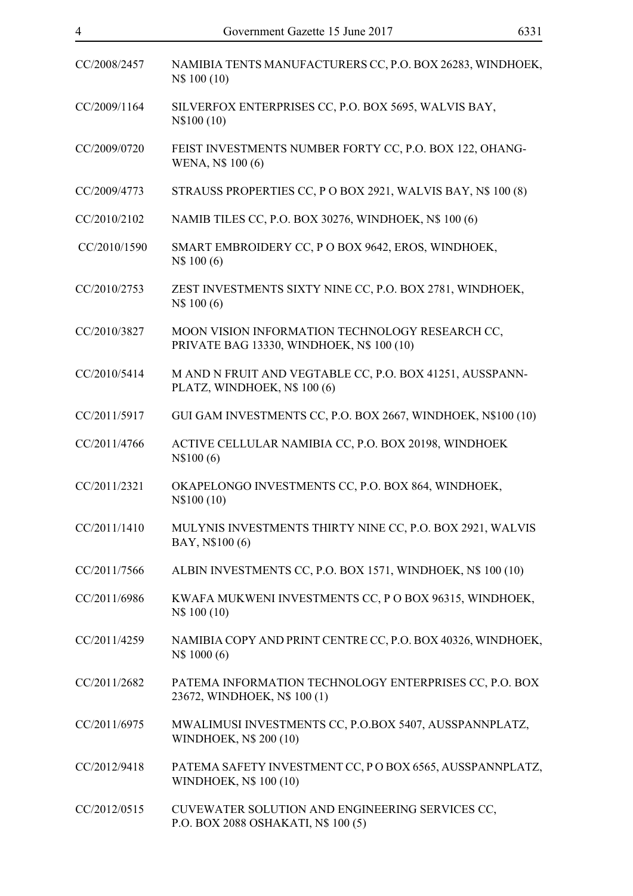| CC/2008/2457 | NAMIBIA TENTS MANUFACTURERS CC, P.O. BOX 26283, WINDHOEK,<br>N\$ 100 (10)                    |
|--------------|----------------------------------------------------------------------------------------------|
| CC/2009/1164 | SILVERFOX ENTERPRISES CC, P.O. BOX 5695, WALVIS BAY,<br>N\\$100 (10)                         |
| CC/2009/0720 | FEIST INVESTMENTS NUMBER FORTY CC, P.O. BOX 122, OHANG-<br>WENA, N\$ 100 (6)                 |
| CC/2009/4773 | STRAUSS PROPERTIES CC, P O BOX 2921, WALVIS BAY, N\$ 100 (8)                                 |
| CC/2010/2102 | NAMIB TILES CC, P.O. BOX 30276, WINDHOEK, N\$ 100 (6)                                        |
| CC/2010/1590 | SMART EMBROIDERY CC, P O BOX 9642, EROS, WINDHOEK,<br>N\$ 100 (6)                            |
| CC/2010/2753 | ZEST INVESTMENTS SIXTY NINE CC, P.O. BOX 2781, WINDHOEK,<br>N\$ 100 (6)                      |
| CC/2010/3827 | MOON VISION INFORMATION TECHNOLOGY RESEARCH CC,<br>PRIVATE BAG 13330, WINDHOEK, N\$ 100 (10) |
| CC/2010/5414 | M AND N FRUIT AND VEGTABLE CC, P.O. BOX 41251, AUSSPANN-<br>PLATZ, WINDHOEK, N\$ 100 (6)     |
| CC/2011/5917 | GUI GAM INVESTMENTS CC, P.O. BOX 2667, WINDHOEK, N\$100 (10)                                 |
| CC/2011/4766 | ACTIVE CELLULAR NAMIBIA CC, P.O. BOX 20198, WINDHOEK<br>N\\$100(6)                           |
| CC/2011/2321 | OKAPELONGO INVESTMENTS CC, P.O. BOX 864, WINDHOEK,<br>N\\$100 (10)                           |
| CC/2011/1410 | MULYNIS INVESTMENTS THIRTY NINE CC, P.O. BOX 2921, WALVIS<br>BAY, N\$100 (6)                 |
| CC/2011/7566 | ALBIN INVESTMENTS CC, P.O. BOX 1571, WINDHOEK, N\$ 100 (10)                                  |
| CC/2011/6986 | KWAFA MUKWENI INVESTMENTS CC, P O BOX 96315, WINDHOEK,<br>N\$ 100 (10)                       |
| CC/2011/4259 | NAMIBIA COPY AND PRINT CENTRE CC, P.O. BOX 40326, WINDHOEK,<br>N\$ 1000 (6)                  |
| CC/2011/2682 | PATEMA INFORMATION TECHNOLOGY ENTERPRISES CC, P.O. BOX<br>23672, WINDHOEK, N\$ 100 (1)       |
| CC/2011/6975 | MWALIMUSI INVESTMENTS CC, P.O.BOX 5407, AUSSPANNPLATZ,<br><b>WINDHOEK, N\$ 200 (10)</b>      |
| CC/2012/9418 | PATEMA SAFETY INVESTMENT CC, PO BOX 6565, AUSSPANNPLATZ,<br><b>WINDHOEK, N\$ 100 (10)</b>    |
| CC/2012/0515 | CUVEWATER SOLUTION AND ENGINEERING SERVICES CC,<br>P.O. BOX 2088 OSHAKATI, N\$ 100 (5)       |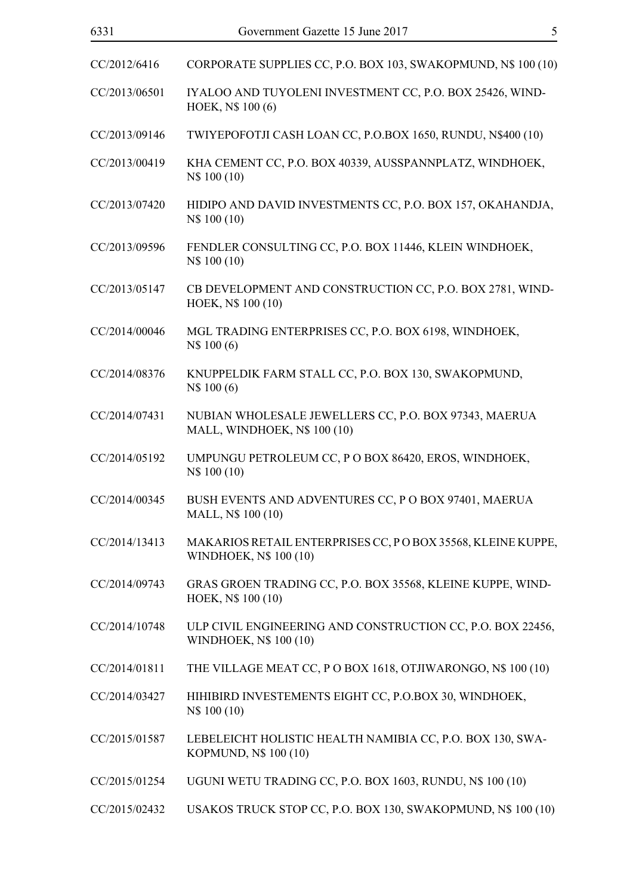| 6331          | Government Gazette 15 June 2017<br>5                                                  |
|---------------|---------------------------------------------------------------------------------------|
| CC/2012/6416  | CORPORATE SUPPLIES CC, P.O. BOX 103, SWAKOPMUND, N\$ 100 (10)                         |
| CC/2013/06501 | IYALOO AND TUYOLENI INVESTMENT CC, P.O. BOX 25426, WIND-<br>HOEK, N\$ 100 (6)         |
| CC/2013/09146 | TWIYEPOFOTJI CASH LOAN CC, P.O.BOX 1650, RUNDU, N\$400 (10)                           |
| CC/2013/00419 | KHA CEMENT CC, P.O. BOX 40339, AUSSPANNPLATZ, WINDHOEK,<br>N\$ 100 (10)               |
| CC/2013/07420 | HIDIPO AND DAVID INVESTMENTS CC, P.O. BOX 157, OKAHANDJA,<br>N\$ 100 (10)             |
| CC/2013/09596 | FENDLER CONSULTING CC, P.O. BOX 11446, KLEIN WINDHOEK,<br>N\$ 100 (10)                |
| CC/2013/05147 | CB DEVELOPMENT AND CONSTRUCTION CC, P.O. BOX 2781, WIND-<br>HOEK, N\$ 100 (10)        |
| CC/2014/00046 | MGL TRADING ENTERPRISES CC, P.O. BOX 6198, WINDHOEK,<br>N\$ 100 (6)                   |
| CC/2014/08376 | KNUPPELDIK FARM STALL CC, P.O. BOX 130, SWAKOPMUND,<br>N\$ 100 (6)                    |
| CC/2014/07431 | NUBIAN WHOLESALE JEWELLERS CC, P.O. BOX 97343, MAERUA<br>MALL, WINDHOEK, N\$ 100 (10) |
| CC/2014/05192 | UMPUNGU PETROLEUM CC, P O BOX 86420, EROS, WINDHOEK,<br>N\$ 100 (10)                  |
| CC/2014/00345 | BUSH EVENTS AND ADVENTURES CC, P O BOX 97401, MAERUA                                  |

- MALL, N\$ 100 (10)
- CC/2014/13413 MAKARIOS RETAIL ENTERPRISES CC, P O BOX 35568, KLEINE KUPPE, WINDHOEK, N\$ 100 (10)
- CC/2014/09743 GRAS GROEN TRADING CC, P.O. BOX 35568, KLEINE KUPPE, WIND-HOEK, N\$ 100 (10)
- CC/2014/10748 ULP CIVIL ENGINEERING AND CONSTRUCTION CC, P.O. BOX 22456, WINDHOEK, N\$ 100 (10)
- CC/2014/01811 THE VILLAGE MEAT CC, P O BOX 1618, OTJIWARONGO, N\$ 100 (10)
- CC/2014/03427 HIHIBIRD INVESTEMENTS EIGHT CC, P.O.BOX 30, WINDHOEK, N\$ 100 (10)
- CC/2015/01587 LEBELEICHT HOLISTIC HEALTH NAMIBIA CC, P.O. BOX 130, SWA-KOPMUND, N\$ 100 (10)
- CC/2015/01254 UGUNI WETU TRADING CC, P.O. BOX 1603, RUNDU, N\$ 100 (10)
- CC/2015/02432 USAKOS TRUCK STOP CC, P.O. BOX 130, SWAKOPMUND, N\$ 100 (10)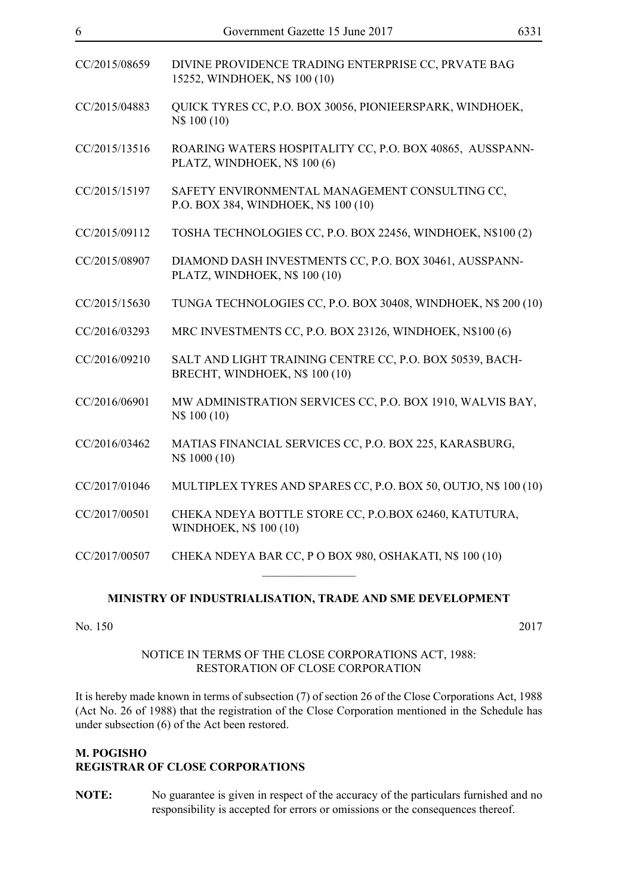| CC/2015/08659 | DIVINE PROVIDENCE TRADING ENTERPRISE CC, PRVATE BAG<br>15252, WINDHOEK, N\$ 100 (10)       |
|---------------|--------------------------------------------------------------------------------------------|
| CC/2015/04883 | QUICK TYRES CC, P.O. BOX 30056, PIONIEERSPARK, WINDHOEK,<br>N\$ 100 (10)                   |
| CC/2015/13516 | ROARING WATERS HOSPITALITY CC, P.O. BOX 40865, AUSSPANN-<br>PLATZ, WINDHOEK, N\$ 100 (6)   |
| CC/2015/15197 | SAFETY ENVIRONMENTAL MANAGEMENT CONSULTING CC,<br>P.O. BOX 384, WINDHOEK, N\$ 100 (10)     |
| CC/2015/09112 | TOSHA TECHNOLOGIES CC, P.O. BOX 22456, WINDHOEK, N\$100 (2)                                |
| CC/2015/08907 | DIAMOND DASH INVESTMENTS CC, P.O. BOX 30461, AUSSPANN-<br>PLATZ, WINDHOEK, N\$ 100 (10)    |
| CC/2015/15630 | TUNGA TECHNOLOGIES CC, P.O. BOX 30408, WINDHOEK, N\$ 200 (10)                              |
| CC/2016/03293 | MRC INVESTMENTS CC, P.O. BOX 23126, WINDHOEK, N\$100 (6)                                   |
| CC/2016/09210 | SALT AND LIGHT TRAINING CENTRE CC, P.O. BOX 50539, BACH-<br>BRECHT, WINDHOEK, N\$ 100 (10) |
| CC/2016/06901 | MW ADMINISTRATION SERVICES CC, P.O. BOX 1910, WALVIS BAY,<br>N\$ 100 (10)                  |
| CC/2016/03462 | MATIAS FINANCIAL SERVICES CC, P.O. BOX 225, KARASBURG,<br>N\$ 1000 (10)                    |
| CC/2017/01046 | MULTIPLEX TYRES AND SPARES CC, P.O. BOX 50, OUTJO, N\$ 100 (10)                            |
| CC/2017/00501 | CHEKA NDEYA BOTTLE STORE CC, P.O.BOX 62460, KATUTURA,<br><b>WINDHOEK, N\$ 100 (10)</b>     |
| CC/2017/00507 | CHEKA NDEYA BAR CC, P O BOX 980, OSHAKATI, N\$ 100 (10)                                    |

## **MINISTRY OF INDUSTRIALISATION, TRADE AND SME DEVELOPMENT**

No. 150 2017

#### NOTICE IN TERMS OF THE CLOSE CORPORATIONS ACT, 1988: RESTORATION OF CLOSE CORPORATION

It is hereby made known in terms of subsection (7) of section 26 of the Close Corporations Act, 1988 (Act No. 26 of 1988) that the registration of the Close Corporation mentioned in the Schedule has under subsection (6) of the Act been restored.

## **M. POGISHO REGISTRAR OF CLOSE CORPORATIONS**

**NOTE:** No guarantee is given in respect of the accuracy of the particulars furnished and no responsibility is accepted for errors or omissions or the consequences thereof.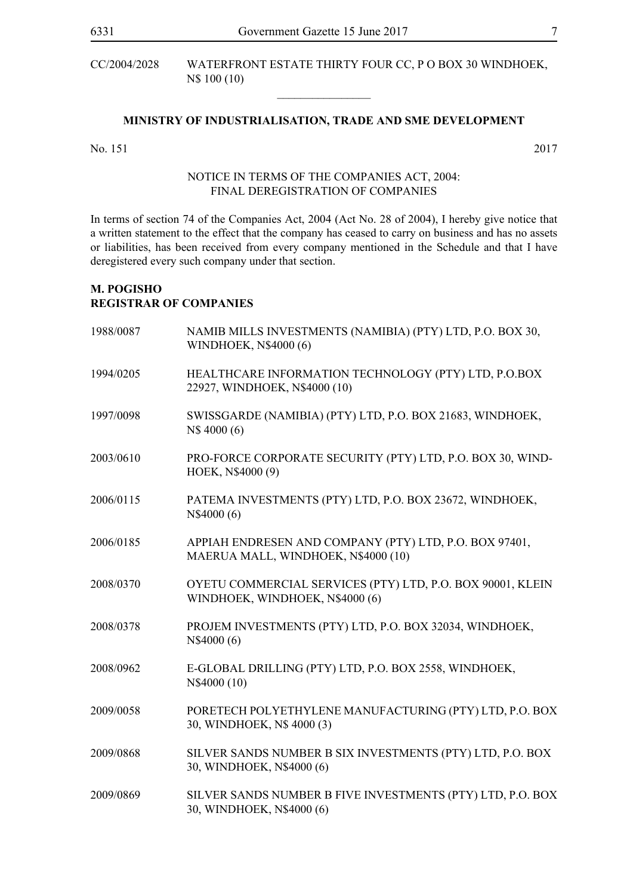CC/2004/2028 WATERFRONT ESTATE THIRTY FOUR CC, P O BOX 30 WINDHOEK, N\$ 100 (10)

#### **MINISTRY OF INDUSTRIALISATION, TRADE AND SME DEVELOPMENT**

 $\overline{\phantom{a}}$  , where  $\overline{\phantom{a}}$ 

No. 151 2017

### NOTICE IN TERMS OF THE COMPANIES ACT, 2004: FINAL DEREGISTRATION OF COMPANIES

In terms of section 74 of the Companies Act, 2004 (Act No. 28 of 2004), I hereby give notice that a written statement to the effect that the company has ceased to carry on business and has no assets or liabilities, has been received from every company mentioned in the Schedule and that I have deregistered every such company under that section.

## **M. POGISHO REGISTRAR OF COMPANIES**

| 1988/0087 | NAMIB MILLS INVESTMENTS (NAMIBIA) (PTY) LTD, P.O. BOX 30,<br>WINDHOEK, N\$4000 (6)            |
|-----------|-----------------------------------------------------------------------------------------------|
| 1994/0205 | HEALTHCARE INFORMATION TECHNOLOGY (PTY) LTD, P.O.BOX<br>22927, WINDHOEK, N\$4000 (10)         |
| 1997/0098 | SWISSGARDE (NAMIBIA) (PTY) LTD, P.O. BOX 21683, WINDHOEK,<br>N\$4000 (6)                      |
| 2003/0610 | PRO-FORCE CORPORATE SECURITY (PTY) LTD, P.O. BOX 30, WIND-<br>HOEK, N\$4000 (9)               |
| 2006/0115 | PATEMA INVESTMENTS (PTY) LTD, P.O. BOX 23672, WINDHOEK,<br>N\$4000 (6)                        |
| 2006/0185 | APPIAH ENDRESEN AND COMPANY (PTY) LTD, P.O. BOX 97401,<br>MAERUA MALL, WINDHOEK, N\$4000 (10) |
| 2008/0370 | OYETU COMMERCIAL SERVICES (PTY) LTD, P.O. BOX 90001, KLEIN<br>WINDHOEK, WINDHOEK, N\$4000 (6) |
| 2008/0378 | PROJEM INVESTMENTS (PTY) LTD, P.O. BOX 32034, WINDHOEK,<br>N\$4000 (6)                        |
| 2008/0962 | E-GLOBAL DRILLING (PTY) LTD, P.O. BOX 2558, WINDHOEK,<br>N\$4000 (10)                         |
| 2009/0058 | PORETECH POLYETHYLENE MANUFACTURING (PTY) LTD, P.O. BOX<br>30, WINDHOEK, N\$ 4000 (3)         |
| 2009/0868 | SILVER SANDS NUMBER B SIX INVESTMENTS (PTY) LTD, P.O. BOX<br>30, WINDHOEK, N\$4000 (6)        |
| 2009/0869 | SILVER SANDS NUMBER B FIVE INVESTMENTS (PTY) LTD, P.O. BOX<br>30, WINDHOEK, N\$4000 (6)       |